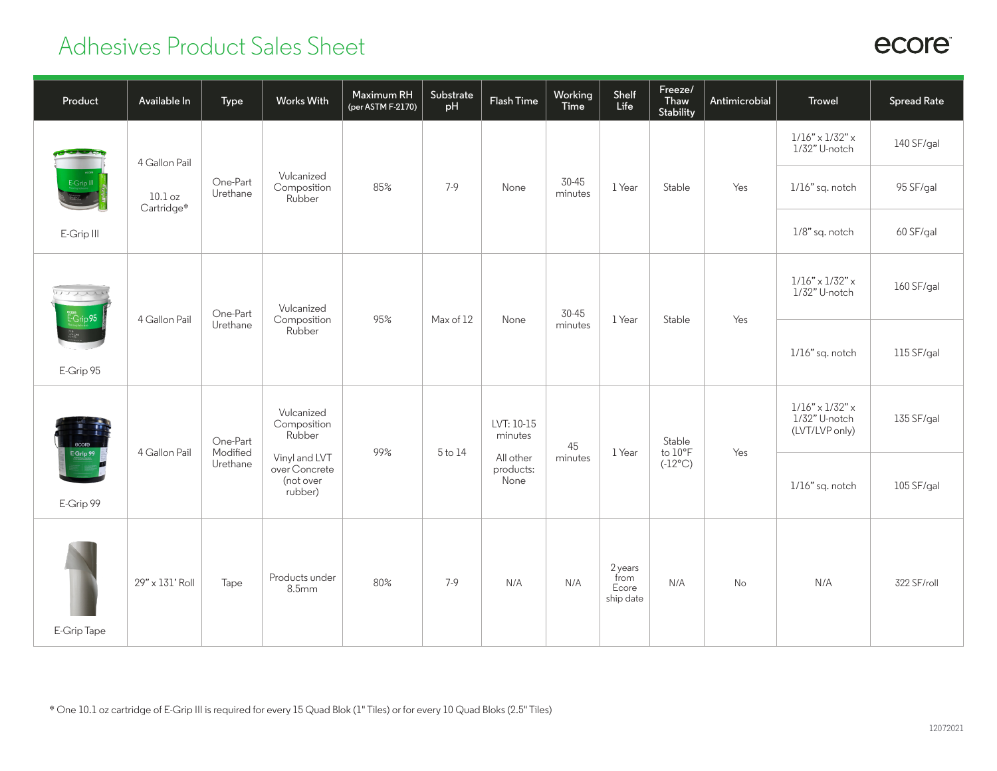## Adhesives Product Sales Sheet

| Product            | Available In               | Type                             | <b>Works With</b>                                                                             | Maximum RH<br>(per ASTM F-2170) | Substrate<br>pH | Flash Time                                              | Working<br>Time  | Shelf<br>Life                         | Freeze/<br>Thaw<br>Stability          | Antimicrobial | <b>Trowel</b>                                                  | <b>Spread Rate</b> |
|--------------------|----------------------------|----------------------------------|-----------------------------------------------------------------------------------------------|---------------------------------|-----------------|---------------------------------------------------------|------------------|---------------------------------------|---------------------------------------|---------------|----------------------------------------------------------------|--------------------|
|                    | 4 Gallon Pail              |                                  |                                                                                               |                                 |                 |                                                         |                  |                                       |                                       |               | $1/16" \times 1/32" \times$<br>1/32" U-notch                   | 140 SF/gal         |
| E-Grip III         | $10.1$ oz<br>Cartridge*    | One-Part<br>Urethane             | Vulcanized<br>Composition<br>Rubber                                                           | 85%                             | $7-9$           | None                                                    | 30-45<br>minutes | 1 Year                                | Stable                                | Yes           | 1/16" sq. notch                                                | 95 SF/gal          |
| E-Grip III         |                            |                                  |                                                                                               |                                 |                 |                                                         |                  |                                       |                                       |               | 1/8" sq. notch                                                 | 60 SF/gal          |
| mari<br>$E-Grip95$ | 4 Gallon Pail              | One-Part                         | Vulcanized<br>Composition                                                                     | 95%                             | Max of 12       | None                                                    | 30-45            | 1 Year                                | Stable                                | Yes           | $1/16" \times 1/32" \times$<br>1/32" U-notch                   | 160 SF/gal         |
| E-Grip 95          |                            | Urethane                         | Rubber                                                                                        |                                 |                 |                                                         | minutes          |                                       |                                       |               | 1/16" sq. notch                                                | 115 SF/gal         |
| ecore              | 4 Gallon Pail<br>E-Grip 99 | One-Part<br>Modified<br>Urethane | Vulcanized<br>Composition<br>Rubber<br>Vinyl and LVT<br>over Concrete<br>(not over<br>rubber) | 99%                             | 5 to 14         | LVT: 10-15<br>minutes<br>All other<br>products:<br>None | 45<br>minutes    | 1 Year                                | Stable<br>to 10°F<br>$(-12^{\circ}C)$ | Yes           | $1/16" \times 1/32" \times$<br>1/32" U-notch<br>(LVT/LVP only) | 135 SF/gal         |
| E-Grip 99          |                            |                                  |                                                                                               |                                 |                 |                                                         |                  |                                       |                                       |               | 1/16" sq. notch                                                | 105 SF/gal         |
| E-Grip Tape        | 29" x 131' Roll            | Tape                             | Products under<br>8.5 <sub>mm</sub>                                                           | 80%                             | $7-9$           | N/A                                                     | N/A              | 2 years<br>from<br>Ecore<br>ship date | N/A                                   | No            | N/A                                                            | 322 SF/roll        |

## ecore